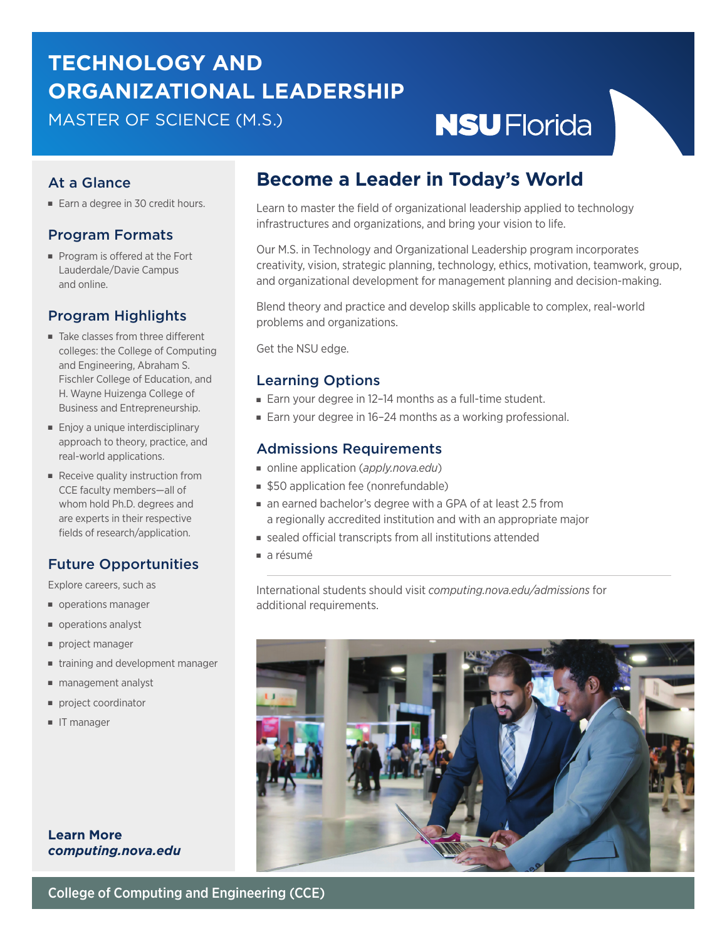# **TECHNOLOGY AND ORGANIZATIONAL LEADERSHIP**

MASTER OF SCIENCE (M.S.)

# **NSUFlorida**

### At a Glance

■ Earn a degree in 30 credit hours.

#### Program Formats

■ Program is offered at the Fort Lauderdale/Davie Campus and online.

#### Program Highlights

- Take classes from three different colleges: the College of Computing and Engineering, Abraham S. Fischler College of Education, and H. Wayne Huizenga College of Business and Entrepreneurship.
- Enjoy a unique interdisciplinary approach to theory, practice, and real-world applications.
- Receive quality instruction from CCE faculty members—all of whom hold Ph.D. degrees and are experts in their respective fields of research/application.

#### Future Opportunities

Explore careers, such as

- operations manager
- operations analyst
- project manager
- training and development manager
- management analyst
- project coordinator
- IT manager

**Learn More** *[computing.nova.edu](https://computing.nova.edu/)*

## **Become a Leader in Today's World**

Learn to master the field of organizational leadership applied to technology infrastructures and organizations, and bring your vision to life.

Our M.S. in Technology and Organizational Leadership program incorporates creativity, vision, strategic planning, technology, ethics, motivation, teamwork, group, and organizational development for management planning and decision-making.

Blend theory and practice and develop skills applicable to complex, real-world problems and organizations.

Get the NSU edge.

### Learning Options

- Earn your degree in 12-14 months as a full-time student.
- Earn your degree in 16-24 months as a working professional.

#### Admissions Requirements

- online application ([apply.nova.edu](https://nova.elluciancrmrecruit.com/Apply/Account/Login?ReturnUrl=%2fApply))
- \$50 application fee (nonrefundable)
- an earned bachelor's degree with a GPA of at least 2.5 from a regionally accredited institution and with an appropriate major
- sealed official transcripts from all institutions attended
- a résumé

International students should visit *[computing.nova.edu/admissions](https://computing.nova.edu/admissions/)* for additional requirements.